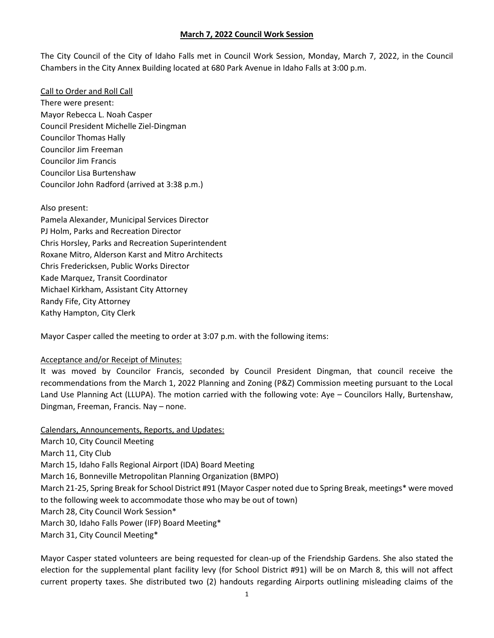The City Council of the City of Idaho Falls met in Council Work Session, Monday, March 7, 2022, in the Council Chambers in the City Annex Building located at 680 Park Avenue in Idaho Falls at 3:00 p.m.

Call to Order and Roll Call There were present: Mayor Rebecca L. Noah Casper Council President Michelle Ziel-Dingman Councilor Thomas Hally Councilor Jim Freeman Councilor Jim Francis Councilor Lisa Burtenshaw Councilor John Radford (arrived at 3:38 p.m.)

Also present: Pamela Alexander, Municipal Services Director PJ Holm, Parks and Recreation Director Chris Horsley, Parks and Recreation Superintendent Roxane Mitro, Alderson Karst and Mitro Architects Chris Fredericksen, Public Works Director Kade Marquez, Transit Coordinator Michael Kirkham, Assistant City Attorney Randy Fife, City Attorney Kathy Hampton, City Clerk

Mayor Casper called the meeting to order at 3:07 p.m. with the following items:

#### Acceptance and/or Receipt of Minutes:

It was moved by Councilor Francis, seconded by Council President Dingman, that council receive the recommendations from the March 1, 2022 Planning and Zoning (P&Z) Commission meeting pursuant to the Local Land Use Planning Act (LLUPA). The motion carried with the following vote: Aye – Councilors Hally, Burtenshaw, Dingman, Freeman, Francis. Nay – none.

Calendars, Announcements, Reports, and Updates: March 10, City Council Meeting March 11, City Club March 15, Idaho Falls Regional Airport (IDA) Board Meeting March 16, Bonneville Metropolitan Planning Organization (BMPO) March 21-25, Spring Break for School District #91 (Mayor Casper noted due to Spring Break, meetings\* were moved to the following week to accommodate those who may be out of town) March 28, City Council Work Session\* March 30, Idaho Falls Power (IFP) Board Meeting\* March 31, City Council Meeting\*

Mayor Casper stated volunteers are being requested for clean-up of the Friendship Gardens. She also stated the election for the supplemental plant facility levy (for School District #91) will be on March 8, this will not affect current property taxes. She distributed two (2) handouts regarding Airports outlining misleading claims of the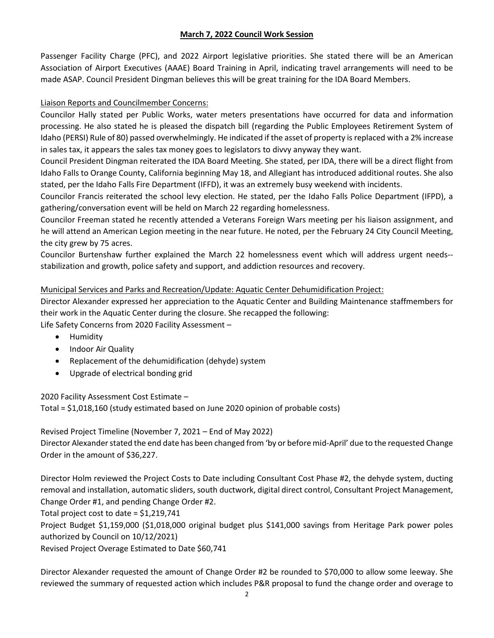Passenger Facility Charge (PFC), and 2022 Airport legislative priorities. She stated there will be an American Association of Airport Executives (AAAE) Board Training in April, indicating travel arrangements will need to be made ASAP. Council President Dingman believes this will be great training for the IDA Board Members.

# Liaison Reports and Councilmember Concerns:

Councilor Hally stated per Public Works, water meters presentations have occurred for data and information processing. He also stated he is pleased the dispatch bill (regarding the Public Employees Retirement System of Idaho (PERSI) Rule of 80) passed overwhelmingly. He indicated if the asset of property is replaced with a 2% increase in sales tax, it appears the sales tax money goes to legislators to divvy anyway they want.

Council President Dingman reiterated the IDA Board Meeting. She stated, per IDA, there will be a direct flight from Idaho Falls to Orange County, California beginning May 18, and Allegiant has introduced additional routes. She also stated, per the Idaho Falls Fire Department (IFFD), it was an extremely busy weekend with incidents.

Councilor Francis reiterated the school levy election. He stated, per the Idaho Falls Police Department (IFPD), a gathering/conversation event will be held on March 22 regarding homelessness.

Councilor Freeman stated he recently attended a Veterans Foreign Wars meeting per his liaison assignment, and he will attend an American Legion meeting in the near future. He noted, per the February 24 City Council Meeting, the city grew by 75 acres.

Councilor Burtenshaw further explained the March 22 homelessness event which will address urgent needs- stabilization and growth, police safety and support, and addiction resources and recovery.

## Municipal Services and Parks and Recreation/Update: Aquatic Center Dehumidification Project:

Director Alexander expressed her appreciation to the Aquatic Center and Building Maintenance staffmembers for their work in the Aquatic Center during the closure. She recapped the following:

Life Safety Concerns from 2020 Facility Assessment –

- Humidity
- Indoor Air Quality
- Replacement of the dehumidification (dehyde) system
- Upgrade of electrical bonding grid

2020 Facility Assessment Cost Estimate –

Total = \$1,018,160 (study estimated based on June 2020 opinion of probable costs)

# Revised Project Timeline (November 7, 2021 – End of May 2022)

Director Alexander stated the end date has been changed from 'by or before mid-April' due to the requested Change Order in the amount of \$36,227.

Director Holm reviewed the Project Costs to Date including Consultant Cost Phase #2, the dehyde system, ducting removal and installation, automatic sliders, south ductwork, digital direct control, Consultant Project Management, Change Order #1, and pending Change Order #2.

Total project cost to date = \$1,219,741

Project Budget \$1,159,000 (\$1,018,000 original budget plus \$141,000 savings from Heritage Park power poles authorized by Council on 10/12/2021)

Revised Project Overage Estimated to Date \$60,741

Director Alexander requested the amount of Change Order #2 be rounded to \$70,000 to allow some leeway. She reviewed the summary of requested action which includes P&R proposal to fund the change order and overage to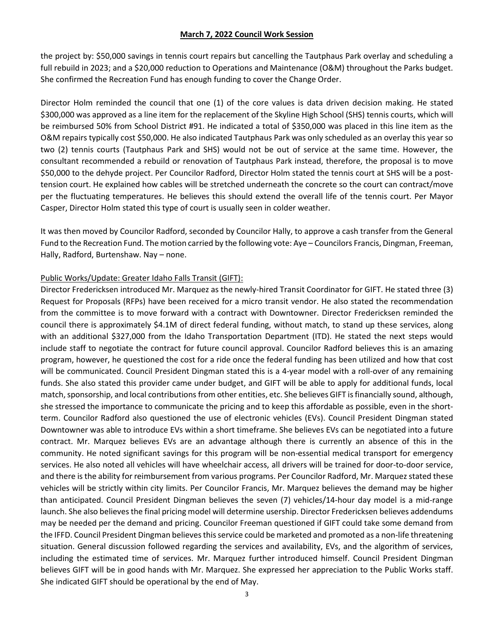the project by: \$50,000 savings in tennis court repairs but cancelling the Tautphaus Park overlay and scheduling a full rebuild in 2023; and a \$20,000 reduction to Operations and Maintenance (O&M) throughout the Parks budget. She confirmed the Recreation Fund has enough funding to cover the Change Order.

Director Holm reminded the council that one (1) of the core values is data driven decision making. He stated \$300,000 was approved as a line item for the replacement of the Skyline High School (SHS) tennis courts, which will be reimbursed 50% from School District #91. He indicated a total of \$350,000 was placed in this line item as the O&M repairs typically cost \$50,000. He also indicated Tautphaus Park was only scheduled as an overlay this year so two (2) tennis courts (Tautphaus Park and SHS) would not be out of service at the same time. However, the consultant recommended a rebuild or renovation of Tautphaus Park instead, therefore, the proposal is to move \$50,000 to the dehyde project. Per Councilor Radford, Director Holm stated the tennis court at SHS will be a posttension court. He explained how cables will be stretched underneath the concrete so the court can contract/move per the fluctuating temperatures. He believes this should extend the overall life of the tennis court. Per Mayor Casper, Director Holm stated this type of court is usually seen in colder weather.

It was then moved by Councilor Radford, seconded by Councilor Hally, to approve a cash transfer from the General Fund to the Recreation Fund. The motion carried by the following vote: Aye – Councilors Francis, Dingman, Freeman, Hally, Radford, Burtenshaw. Nay – none.

#### Public Works/Update: Greater Idaho Falls Transit (GIFT):

Director Fredericksen introduced Mr. Marquez as the newly-hired Transit Coordinator for GIFT. He stated three (3) Request for Proposals (RFPs) have been received for a micro transit vendor. He also stated the recommendation from the committee is to move forward with a contract with Downtowner. Director Fredericksen reminded the council there is approximately \$4.1M of direct federal funding, without match, to stand up these services, along with an additional \$327,000 from the Idaho Transportation Department (ITD). He stated the next steps would include staff to negotiate the contract for future council approval. Councilor Radford believes this is an amazing program, however, he questioned the cost for a ride once the federal funding has been utilized and how that cost will be communicated. Council President Dingman stated this is a 4-year model with a roll-over of any remaining funds. She also stated this provider came under budget, and GIFT will be able to apply for additional funds, local match, sponsorship, and local contributions from other entities, etc. She believes GIFT is financially sound, although, she stressed the importance to communicate the pricing and to keep this affordable as possible, even in the shortterm. Councilor Radford also questioned the use of electronic vehicles (EVs). Council President Dingman stated Downtowner was able to introduce EVs within a short timeframe. She believes EVs can be negotiated into a future contract. Mr. Marquez believes EVs are an advantage although there is currently an absence of this in the community. He noted significant savings for this program will be non-essential medical transport for emergency services. He also noted all vehicles will have wheelchair access, all drivers will be trained for door-to-door service, and there is the ability for reimbursement from various programs. Per Councilor Radford, Mr. Marquez stated these vehicles will be strictly within city limits. Per Councilor Francis, Mr. Marquez believes the demand may be higher than anticipated. Council President Dingman believes the seven (7) vehicles/14-hour day model is a mid-range launch. She also believes the final pricing model will determine usership. Director Fredericksen believes addendums may be needed per the demand and pricing. Councilor Freeman questioned if GIFT could take some demand from the IFFD. Council President Dingman believes this service could be marketed and promoted as a non-life threatening situation. General discussion followed regarding the services and availability, EVs, and the algorithm of services, including the estimated time of services. Mr. Marquez further introduced himself. Council President Dingman believes GIFT will be in good hands with Mr. Marquez. She expressed her appreciation to the Public Works staff. She indicated GIFT should be operational by the end of May.